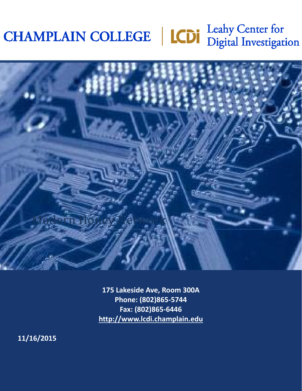# CHAMPLAIN COLLEGE | CDI Leahy Center for



**175 Lakeside Ave, Room 300A Phone: (802)865-5744 Fax: (802)865-6446 [http://www.lcdi.champlain.edu](http://www.lcdi.champlain.edu/)**

**11/16/2015**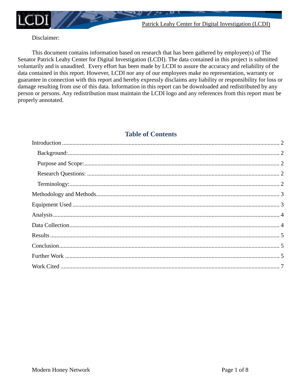

Patrick Leahy Center for Digital Investigation (LCDI)

## Disclaimer:

This document contains information based on research that has been gathered by employee(s) of The Senator Patrick Leahy Center for Digital Investigation (LCDI). The data contained in this project is submitted voluntarily and is unaudited. Every effort has been made by LCDI to assure the accuracy and reliability of the data contained in this report. However, LCDI nor any of our employees make no representation, warranty or guarantee in connection with this report and hereby expressly disclaims any liability or responsibility for loss or damage resulting from use of this data. Information in this report can be downloaded and redistributed by any person or persons. Any redistribution must maintain the LCDI logo and any references from this report must be properly annotated.

# **Table of Contents**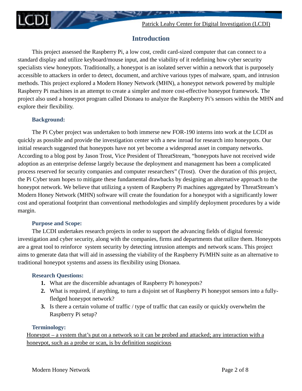

# **Introduction**

<span id="page-2-0"></span>This project assessed the Raspberry Pi, a low cost, credit card-sized computer that can connect to a standard display and utilize keyboard/mouse input, and the viability of it redefining how cyber security specialists view honeypots. Traditionally, a honeypot is an isolated server within a network that is purposely accessible to attackers in order to detect, document, and archive various types of malware, spam, and intrusion methods. This project explored a Modern Honey Network (MHN), a honeypot network powered by multiple Raspberry Pi machines in an attempt to create a simpler and more cost-effective honeypot framework. The project also used a honeypot program called Dionaea to analyze the Raspberry Pi's sensors within the MHN and explore their flexibility.

## <span id="page-2-1"></span>**Background:**

The Pi Cyber project was undertaken to both immerse new FOR-190 interns into work at the LCDI as quickly as possible and provide the investigation center with a new inroad for research into honeypots. Our initial research suggested that honeypots have not yet become a widespread asset in company networks. According to a blog post by Jason Trost, Vice President of ThreatStream, "honeypots have not received wide adoption as an enterprise defense largely because the deployment and management has been a complicated process reserved for security companies and computer researchers" (Trost). Over the duration of this project, the Pi Cyber team hopes to mitigate these fundamental drawbacks by designing an alternative approach to the honeypot network. We believe that utilizing a system of Raspberry Pi machines aggregated by ThreatStream's Modern Honey Network (MHN) software will create the foundation for a honeypot with a significantly lower cost and operational footprint than conventional methodologies and simplify deployment procedures by a wide margin.

## **Purpose and Scope:**

<span id="page-2-2"></span>The LCDI undertakes research projects in order to support the advancing fields of digital forensic investigation and cyber security, along with the companies, firms and departments that utilize them. Honeypots are a great tool to reinforce system security by detecting intrusion attempts and network scans. This project aims to generate data that will aid in assessing the viability of the Raspberry Pi/MHN suite as an alternative to traditional honeypot systems and assess its flexibility using Dionaea.

## <span id="page-2-3"></span>**Research Questions:**

- **1.** What are the discernible advantages of Raspberry Pi honeypots?
- **2.** What is required, if anything, to turn a disjoint set of Raspberry Pi honeypot sensors into a fullyfledged honeypot network?
- **3.** Is there a certain volume of traffic / type of traffic that can easily or quickly overwhelm the Raspberry Pi setup?

## **Terminology:**

<span id="page-2-4"></span>Honeypot – a system that's put on a network so it can be probed and attacked; any interaction with a honeypot, such as a probe or scan, is by definition suspicious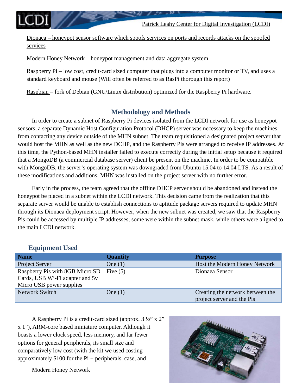Dionaea – honeypot sensor software which spoofs services on ports and records attacks on the spoofed services

Modern Honey Network – honeypot management and data aggregate system

Raspberry Pi – low cost, credit-card sized computer that plugs into a computer monitor or TV, and uses a standard keyboard and mouse (Will often be referred to as RasPi thorough this report)

<span id="page-3-0"></span>Raspbian – fork of Debian (GNU/Linux distribution) optimized for the Raspberry Pi hardware.

# **Methodology and Methods**

In order to create a subnet of Raspberry Pi devices isolated from the LCDI network for use as honeypot sensors, a separate Dynamic Host Configuration Protocol (DHCP) server was necessary to keep the machines from contacting any device outside of the MHN subnet. The team requisitioned a designated project server that would host the MHN as well as the new DCHP, and the Raspberry Pis were arranged to receive IP addresses. At this time, the Python-based MHN installer failed to execute correctly during the initial setup because it required that a MongoDB (a commercial database server) client be present on the machine. In order to be compatible with MongoDB, the server's operating system was downgraded from Ubuntu 15.04 to 14.04 LTS. As a result of these modifications and additions, MHN was installed on the project server with no further error.

Early in the process, the team agreed that the offline DHCP server should be abandoned and instead the honeypot be placed in a subnet within the LCDI network. This decision came from the realization that this separate server would be unable to establish connections to aptitude package servers required to update MHN through its Dionaea deployment script. However, when the new subnet was created, we saw that the Raspberry Pis could be accessed by multiple IP addresses; some were within the subnet mask, while others were aligned to the main LCDI network.

# <span id="page-3-1"></span>**Equipment Used**

| <b>Name</b>                                                                                    | <b>Quantity</b> | <b>Purpose</b>                                                 |
|------------------------------------------------------------------------------------------------|-----------------|----------------------------------------------------------------|
| Project Server                                                                                 | One $(1)$       | Host the Modern Honey Network                                  |
| Raspberry Pis with 8GB Micro SD<br>Cards, USB Wi-Fi adapter and 5v<br>Micro USB power supplies | Five $(5)$      | Dionaea Sensor                                                 |
| Network Switch                                                                                 | One $(1)$       | Creating the network between the<br>project server and the Pis |

A Raspberry Pi is a credit-card sized (approx. 3 ½" x 2" x 1"), ARM-core based miniature computer. Although it boasts a lower clock speed, less memory, and far fewer options for general peripherals, its small size and comparatively low cost (with the kit we used costing approximately  $$100$  for the Pi + peripherals, case, and

Modern Honey Network

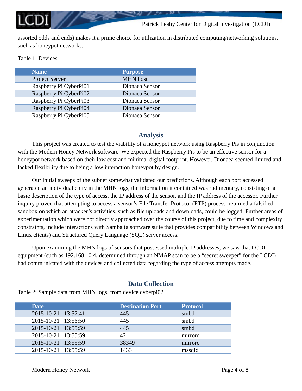assorted odds and ends) makes it a prime choice for utilization in distributed computing/networking solutions, such as honeypot networks.

| Table 1: Devices |
|------------------|
|                  |

| <b>Name</b>            | <b>Purpose</b>  |
|------------------------|-----------------|
| Project Server         | <b>MHN</b> host |
| Raspberry Pi CyberPi01 | Dionaea Sensor  |
| Raspberry Pi CyberPi02 | Dionaea Sensor  |
| Raspberry Pi CyberPi03 | Dionaea Sensor  |
| Raspberry Pi CyberPi04 | Dionaea Sensor  |
| Raspberry Pi CyberPi05 | Dionaea Sensor  |

#### **Analysis**

<span id="page-4-0"></span>This project was created to test the viability of a honeypot network using Raspberry Pis in conjunction with the Modern Honey Network software. We expected the Raspberry Pis to be an effective sensor for a honeypot network based on their low cost and minimal digital footprint. However, Dionaea seemed limited and lacked flexibility due to being a low interaction honeypot by design.

Our initial sweeps of the subnet somewhat validated our predictions. Although each port accessed generated an individual entry in the MHN logs, the information it contained was rudimentary, consisting of a basic description of the type of access, the IP address of the sensor, and the IP address of the accessor. Further inquiry proved that attempting to access a sensor's File Transfer Protocol (FTP) process returned a falsified sandbox on which an attacker's activities, such as file uploads and downloads, could be logged. Further areas of experimentation which were not directly approached over the course of this project, due to time and complexity constraints, include interactions with Samba (a software suite that provides compatibility between Windows and Linux clients) and Structured Query Language (SQL) server access.

Upon examining the MHN logs of sensors that possessed multiple IP addresses, we saw that LCDI equipment (such as 192.168.10.4, determined through an NMAP scan to be a "secret sweeper" for the LCDI) had communicated with the devices and collected data regarding the type of access attempts made.

## **Data Collection**

<span id="page-4-1"></span>Table 2: Sample data from MHN logs, from device cyberpi02

| Date                | <b>Destination Port</b> | <b>Protocol</b> |
|---------------------|-------------------------|-----------------|
| 2015-10-21 13:57:41 | 445                     | smbd            |
| 2015-10-21 13:56:50 | 445                     | smbd            |
| 2015-10-21 13:55:59 | 445                     | smbd            |
| 2015-10-21 13:55:59 | 42.                     | mirrord         |
| 2015-10-21 13:55:59 | 38349                   | mirrorc         |
| 2015-10-21 13:55:59 | 1433                    | mssqld          |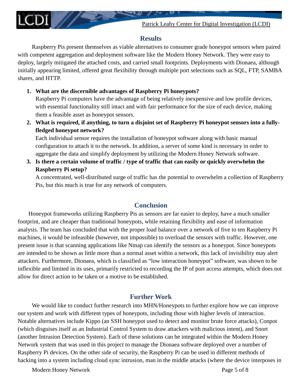## **Results**

<span id="page-5-0"></span>Raspberry Pis present themselves as viable alternatives to consumer grade honeypot sensors when paired with competent aggregation and deployment software like the Modern Honey Network. They were easy to deploy, largely mitigated the attached costs, and carried small footprints. Deployments with Dionaea, although initially appearing limited, offered great flexibility through multiple port selections such as SQL, FTP, SAMBA shares, and HTTP.

**1. What are the discernible advantages of Raspberry Pi honeypots?** 

Raspberry Pi computers have the advantage of being relatively inexpensive and low profile devices, with essential functionality still intact and with fair performance for the size of each device, making them a feasible asset as honeypot sensors.

**2. What is required, if anything, to turn a disjoint set of Raspberry Pi honeypot sensors into a fullyfledged honeypot network?**

Each individual sensor requires the installation of honeypot software along with basic manual configuration to attach it to the network. In addition, a server of some kind is necessary in order to aggregate the data and simplify deployment by utilizing the Modern Honey Network software.

**3. Is there a certain volume of traffic / type of traffic that can easily or quickly overwhelm the Raspberry Pi setup?**

A concentrated, well-distributed surge of traffic has the potential to overwhelm a collection of Raspberry Pis, but this much is true for any network of computers.

# **Conclusion**

<span id="page-5-1"></span>Honeypot frameworks utilizing Raspberry Pis as sensors are far easier to deploy, have a much smaller footprint, and are cheaper than traditional honeypots, while retaining flexibility and ease of information analysis. The team has concluded that with the proper load balance over a network of five to ten Raspberry Pi machines, it would be infeasible (however, not impossible) to overload the sensors with traffic. However, one present issue is that scanning applications like Nmap can identify the sensors as a honeypot. Since honeypots are intended to be shown as little more than a normal asset within a network, this lack of invisibility may alert attackers. Furthermore, Dionaea, which is classified as "low interaction honeypot" software, was shown to be inflexible and limited in its uses, primarily restricted to recording the IP of port access attempts, which does not allow for direct action to be taken or a motive to be established.

# **Further Work**

<span id="page-5-2"></span>We would like to conduct further research into MHN/Honeypots to further explore how we can improve our system and work with different types of honeypots, including those with higher levels of interaction. Notable alternatives include Kippo (an SSH honeypot used to detect and monitor brute force attacks), Conpot (which disguises itself as an Industrial Control System to draw attackers with malicious intent), and Snort (another Intrusion Detection System). Each of these solutions can be integrated within the Modern Honey Network system that was used in this project to manage the Dionaea software deployed over a number of Raspberry Pi devices. On the other side of security, the Raspberry Pi can be used in different methods of hacking into a system including cloud sync intrusion, man in the middle attacks (where the device interposes in

Modern Honey Network **Page 5** of 8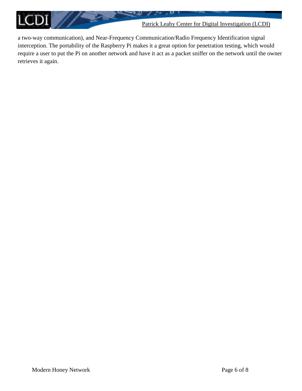

a two-way communication), and Near-Frequency Communication/Radio Frequency Identification signal interception. The portability of the Raspberry Pi makes it a great option for penetration testing, which would require a user to put the Pi on another network and have it act as a packet sniffer on the network until the owner retrieves it again.